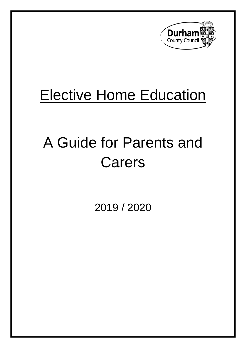

# Elective Home Education

# A Guide for Parents and Carers

2019 / 2020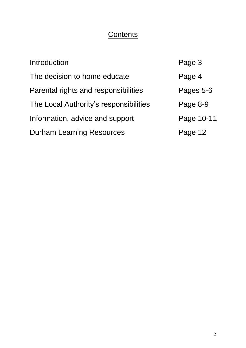# **Contents**

| <b>Introduction</b>                    | Page 3     |
|----------------------------------------|------------|
| The decision to home educate           | Page 4     |
| Parental rights and responsibilities   | Pages 5-6  |
| The Local Authority's responsibilities | Page 8-9   |
| Information, advice and support        | Page 10-11 |
| <b>Durham Learning Resources</b>       | Page 12    |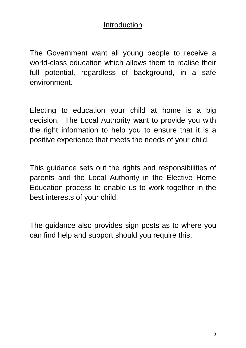# **Introduction**

The Government want all young people to receive a world-class education which allows them to realise their full potential, regardless of background, in a safe environment.

Electing to education your child at home is a big decision. The Local Authority want to provide you with the right information to help you to ensure that it is a positive experience that meets the needs of your child.

This guidance sets out the rights and responsibilities of parents and the Local Authority in the Elective Home Education process to enable us to work together in the best interests of your child.

The guidance also provides sign posts as to where you can find help and support should you require this.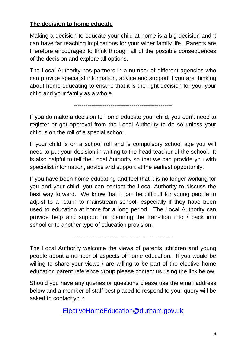## **The decision to home educate**

Making a decision to educate your child at home is a big decision and it can have far reaching implications for your wider family life. Parents are therefore encouraged to think through all of the possible consequences of the decision and explore all options.

The Local Authority has partners in a number of different agencies who can provide specialist information, advice and support if you are thinking about home educating to ensure that it is the right decision for you, your child and your family as a whole.

---------------------------------------------------

If you do make a decision to home educate your child, you don't need to register or get approval from the Local Authority to do so unless your child is on the roll of a special school.

If your child is on a school roll and is compulsory school age you will need to put your decision in writing to the head teacher of the school. It is also helpful to tell the Local Authority so that we can provide you with specialist information, advice and support at the earliest opportunity.

If you have been home educating and feel that it is no longer working for you and your child, you can contact the Local Authority to discuss the best way forward. We know that it can be difficult for young people to adjust to a return to mainstream school, especially if they have been used to education at home for a long period. The Local Authority can provide help and support for planning the transition into / back into school or to another type of education provision.

---------------------------------------------------

The Local Authority welcome the views of parents, children and young people about a number of aspects of home education. If you would be willing to share your views / are willing to be part of the elective home education parent reference group please contact us using the link below.

Should you have any queries or questions please use the email address below and a member of staff best placed to respond to your query will be asked to contact you:

[ElectiveHomeEducation@durham.gov.uk](mailto:ElectiveHomeEducation@durham.gov.uk)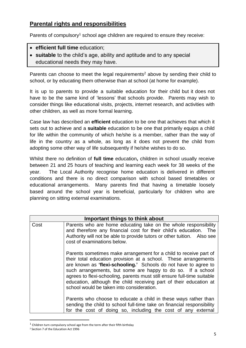#### **Parental rights and responsibilities**

Parents of compulsory<sup>1</sup> school age children are required to ensure they receive:

- **efficient full time** education;
- **suitable** to the child's age, ability and aptitude and to any special educational needs they may have.

Parents can choose to meet the legal requirements<sup>2</sup> above by sending their child to school, or by educating them otherwise than at school (at home for example).

It is up to parents to provide a suitable education for their child but it does not have to be the same kind of 'lessons' that schools provide. Parents may wish to consider things like educational visits, projects, internet research, and activities with other children, as well as more formal learning.

Case law has described an **efficient** education to be one that achieves that which it sets out to achieve and a **suitable** education to be one that primarily equips a child for life within the community of which he/she is a member, rather than the way of life in the country as a whole, as long as it does not prevent the child from adopting some other way of life subsequently if he/she wishes to do so.

Whilst there no definition of **full time** education**,** children in school usually receive between 21 and 25 hours of teaching and learning each week for 38 weeks of the year. The Local Authority recognise home education is delivered in different conditions and there is no direct comparison with school based timetables or educational arrangements. Many parents find that having a timetable loosely based around the school year is beneficial, particularly for children who are planning on sitting external examinations.

| Important things to think about |                                                                                                                                                                                                                                                                                                                                                                                                                                                                      |  |
|---------------------------------|----------------------------------------------------------------------------------------------------------------------------------------------------------------------------------------------------------------------------------------------------------------------------------------------------------------------------------------------------------------------------------------------------------------------------------------------------------------------|--|
| Cost                            | Parents who are home educating take on the whole responsibility<br>and therefore any financial cost for their child's education. The<br>Authority will not be able to provide tutors or other tuition. Also see<br>cost of examinations below.                                                                                                                                                                                                                       |  |
|                                 | Parents sometimes make arrangement for a child to receive part of<br>their total education provision at a school. These arrangements<br>are known as 'flexi-schooling.' Schools do not have to agree to<br>such arrangements, but some are happy to do so. If a school<br>agrees to flexi-schooling, parents must still ensure full-time suitable<br>education, although the child receiving part of their education at<br>school would be taken into consideration. |  |
|                                 | Parents who choose to educate a child in these ways rather than<br>sending the child to school full-time take on financial responsibility<br>for the cost of doing so, including the cost of any external                                                                                                                                                                                                                                                            |  |

<sup>&</sup>lt;sup>1</sup> Children turn compulsory school age from the term after their fifth birthday

**.** 

<sup>2</sup> Section 7 of the Education Act 1996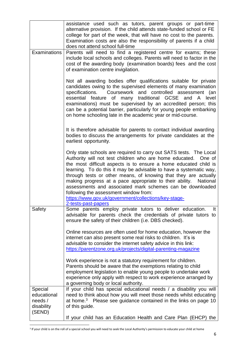|                                   | assistance used such as tutors, parent groups or part-time<br>alternative provision. If the child attends state-funded school or FE<br>college for part of the week, that will have no cost to the parents.<br>Examination costs are also the responsibility of parents if a child<br>does not attend school full-time                                                                                                                                                                                                      |  |  |
|-----------------------------------|-----------------------------------------------------------------------------------------------------------------------------------------------------------------------------------------------------------------------------------------------------------------------------------------------------------------------------------------------------------------------------------------------------------------------------------------------------------------------------------------------------------------------------|--|--|
| Examinations                      | Parents will need to find a registered centre for exams; these<br>include local schools and colleges. Parents will need to factor in the<br>cost of the awarding body (examination boards) fees and the cost<br>of examination centre invigilation.                                                                                                                                                                                                                                                                         |  |  |
|                                   | Not all awarding bodies offer qualifications suitable for private<br>candidates owing to the supervised elements of many examination<br>specifications. Coursework and controlled assessment (an<br>essential feature of many traditional GCSE and A level<br>examinations) must be supervised by an accredited person; this<br>can be a potential barrier, particularly for young people embarking<br>on home schooling late in the academic year or mid-course.                                                           |  |  |
|                                   | It is therefore advisable for parents to contact individual awarding<br>bodies to discuss the arrangements for private candidates at the<br>earliest opportunity.                                                                                                                                                                                                                                                                                                                                                           |  |  |
|                                   | Only state schools are required to carry out SATS tests. The Local<br>Authority will not test children who are home educated. One of<br>the most difficult aspects is to ensure a home educated child is<br>learning. To do this it may be advisable to have a systematic way,<br>through tests or other means, of knowing that they are actually<br>making progress at a pace appropriate to their ability. National<br>assessments and associated mark schemes can be downloaded<br>following the assessment window from: |  |  |
|                                   | https://www.gov.uk/government/collections/key-stage-<br><u>2-tests-past-papers</u>                                                                                                                                                                                                                                                                                                                                                                                                                                          |  |  |
| Safety                            | Some parents employ private tutors to deliver education.<br>It<br>advisable for parents check the credentials of private tutors to<br>ensure the safety of their children (i.e. DBS checked).                                                                                                                                                                                                                                                                                                                               |  |  |
|                                   | Online resources are often used for home education, however the<br>internet can also present some real risks to children. It's is<br>advisable to consider the internet safety advice in this link:<br>https://parentzone.org.uk/projects/digital-parenting-magazine                                                                                                                                                                                                                                                        |  |  |
|                                   | Work experience is not a statutory requirement for children.<br>Parents should be aware that the exemptions relating to child<br>employment legislation to enable young people to undertake work<br>experience only apply with respect to work experience arranged by<br>a governing body or local authority.                                                                                                                                                                                                               |  |  |
| Special<br>educational<br>needs / | If your child has special educational needs / a disability you will<br>need to think about how you will meet those needs whilst educating<br>at home. <sup>3</sup> Please see guidance contained in the links on page 10                                                                                                                                                                                                                                                                                                    |  |  |
| disability<br>(SEND)              | of this guide.                                                                                                                                                                                                                                                                                                                                                                                                                                                                                                              |  |  |
|                                   | If your child has an Education Health and Care Plan (EHCP) the                                                                                                                                                                                                                                                                                                                                                                                                                                                              |  |  |

 3 If your child is on the roll of a special school you will need to seek the Local Authority's permission to educate your child at home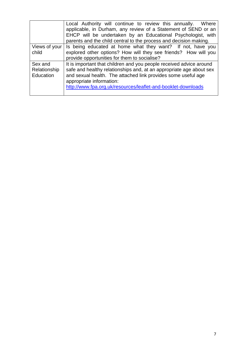|                                      | Local Authority will continue to review this annually. Where<br>applicable, in Durham, any review of a Statement of SEND or an<br>EHCP will be undertaken by an Educational Psychologist, with<br>parents and the child central to the process and decision making.                                      |
|--------------------------------------|----------------------------------------------------------------------------------------------------------------------------------------------------------------------------------------------------------------------------------------------------------------------------------------------------------|
| Views of your<br>child               | Is being educated at home what they want? If not, have you<br>explored other options? How will they see friends? How will you<br>provide opportunities for them to socialise?                                                                                                                            |
| Sex and<br>Relationship<br>Education | It is important that children and you people received advice around<br>safe and healthy relationships and, at an appropriate age about sex<br>and sexual health. The attached link provides some useful age<br>appropriate information:<br>http://www.fpa.org.uk/resources/leaflet-and-booklet-downloads |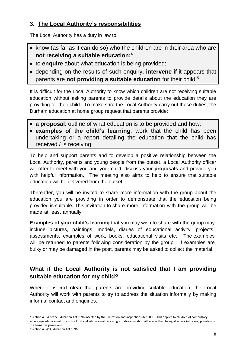## **3. The Local Authority's responsibilities**

The Local Authority has a duty in law to:

- know (as far as it can do so) who the children are in their area who are **not receiving a suitable education;** 4
- to **enquire** about what education is being provided;
- depending on the results of such enquiry**, intervene** if it appears that parents are **not providing a suitable education** for their child.<sup>5</sup>

It is difficult for the Local Authority to know which children are not receiving suitable education without asking parents to provide details about the education they are providing for their child. To make sure the Local Authority carry out these duties, the Durham education at home group request that parents provide:

- **a proposal**: outline of what education is to be provided and how;
- **examples of the child's learning**: work that the child has been undertaking or a report detailing the education that the child has received / is receiving.

To help and support parents and to develop a positive relationship between the Local Authority, parents and young people from the outset, a Local Authority officer will offer to meet with you and your child, discuss your **proposals** and provide you with helpful information. The meeting also aims to help to ensure that suitable education will be delivered from the outset.

Thereafter, you will be invited to share more information with the group about the education you are providing in order to demonstrate that the education being provided is suitable. This invitation to share more information with the group will be made at least annually.

**Examples of your child's learning** that you may wish to share with the group may include pictures, paintings, models, diaries of educational activity, projects, assessments, examples of work, books, educational visits etc. The examples will be returned to parents following consideration by the group. If examples are bulky or may be damaged in the post, parents may be asked to collect the material.

## **What if the Local Authority is not satisfied that I am providing suitable education for my child?**

Where it is **not clear** that parents are providing suitable education, the Local Authority will work with parents to try to address the situation informally by making informal contact and enquiries.

<sup>5</sup> Section 437(1) Education Act 1996

<sup>1</sup> <sup>4</sup> Section 436A of the Education Act 1996 inserted by the Education and Inspections Act 2006. This applies to children of compulsory school age who are not on a school roll and who are not receiving suitable education otherwise than being at school (at home, privately or in alternative provision).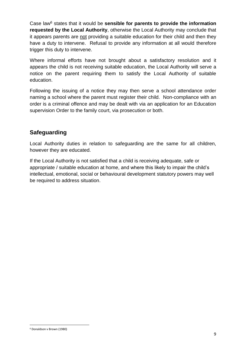Case law<sup>6</sup> states that it would be **sensible for parents to provide the information requested by the Local Authority**, otherwise the Local Authority may conclude that it appears parents are not providing a suitable education for their child and then they have a duty to intervene. Refusal to provide any information at all would therefore trigger this duty to intervene.

Where informal efforts have not brought about a satisfactory resolution and it appears the child is not receiving suitable education, the Local Authority will serve a notice on the parent requiring them to satisfy the Local Authority of suitable education.

Following the issuing of a notice they may then serve a school attendance order naming a school where the parent must register their child. Non-compliance with an order is a criminal offence and may be dealt with via an application for an Education supervision Order to the family court, via prosecution or both.

### **Safeguarding**

Local Authority duties in relation to safeguarding are the same for all children, however they are educated.

If the Local Authority is not satisfied that a child is receiving adequate, safe or appropriate / suitable education at home, and where this likely to impair the child's intellectual, emotional, social or behavioural development statutory powers may well be required to address situation.

<sup>1</sup> <sup>6</sup> Donaldson v Brown (1980)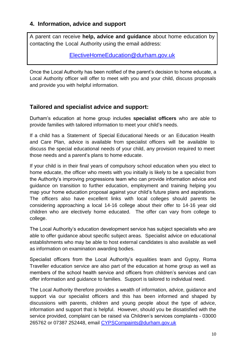#### **4. Information, advice and support**

A parent can receive **help, advice and guidance** about home education by contacting the Local Authority using the email address:

ElectiveHomeEducation@durham.gov.uk

Once the Local Authority has been notified of the parent's decision to home educate, a Local Authority officer will offer to meet with you and your child, discuss proposals and provide you with helpful information.

#### **Tailored and specialist advice and support:**

Durham's education at home group includes **specialist officers** who are able to provide families with tailored information to meet your child's needs.

If a child has a Statement of Special Educational Needs or an Education Health and Care Plan, advice is available from specialist officers will be available to discuss the special educational needs of your child, any provision required to meet those needs and a parent's plans to home educate.

If your child is in their final years of compulsory school education when you elect to home educate, the officer who meets with you initially is likely to be a specialist from the Authority's improving progressions team who can provide information advice and guidance on transition to further education, employment and training helping you map your home education proposal against your child's future plans and aspirations. The officers also have excellent links with local colleges should parents be considering approaching a local 14-16 college about their offer to 14-16 year old children who are electively home educated. The offer can vary from college to college.

The Local Authority's education development service has subject specialists who are able to offer guidance about specific subject areas. Specialist advice on educational establishments who may be able to host external candidates is also available as well as information on examination awarding bodies.

Specialist officers from the Local Authority's equalities team and Gypsy, Roma Traveller education service are also part of the education at home group as well as members of the school health service and officers from children's services and can offer information and guidance to families. Support is tailored to individual need.

The Local Authority therefore provides a wealth of information, advice, guidance and support via our specialist officers and this has been informed and shaped by discussions with parents, children and young people about the type of advice, information and support that is helpful. However, should you be dissatisfied with the service provided, complaint can be raised via Children's services complaints - 03000 265762 or 07387 252448, email [CYPSCompaints@durham.gov.uk](mailto:CYPSCompaints@durham.gov.uk)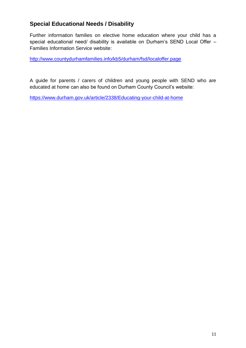#### **Special Educational Needs / Disability**

Further information families on elective home education where your child has a special educational need/ disability is available on Durham's SEND Local Offer -Families Information Service website:

<http://www.countydurhamfamilies.info/kb5/durham/fsd/localoffer.page>

A guide for parents / carers of children and young people with SEND who are educated at home can also be found on Durham County Council's website:

<https://www.durham.gov.uk/article/2338/Educating-your-child-at-home>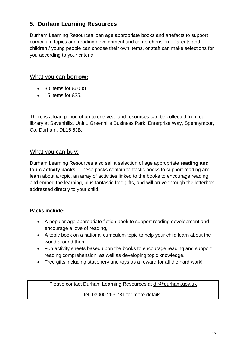### **5. Durham Learning Resources**

Durham Learning Resources loan age appropriate books and artefacts to support curriculum topics and reading development and comprehension. Parents and children / young people can choose their own items, or staff can make selections for you according to your criteria.

#### What you can **borrow:**

- 30 items for £60 **or**
- 15 items for £35.

There is a loan period of up to one year and resources can be collected from our library at Sevenhills, Unit 1 Greenhills Business Park, Enterprise Way, Spennymoor, Co. Durham, DL16 6JB.

#### What you can **buy**:

Durham Learning Resources also sell a selection of age appropriate **reading and topic activity packs**. These packs contain fantastic books to support reading and learn about a topic, an array of activities linked to the books to encourage reading and embed the learning, plus fantastic free gifts, and will arrive through the letterbox addressed directly to your child.

#### **Packs include:**

- A popular age appropriate fiction book to support reading development and encourage a love of reading,
- A topic book on a national curriculum topic to help your child learn about the world around them.
- Fun activity sheets based upon the books to encourage reading and support reading comprehension, as well as developing topic knowledge.
- Free gifts including stationery and toys as a reward for all the hard work!

Please contact Durham Learning Resources at [dlr@durham.gov.uk](mailto:dlr@durham.gov.uk)

tel. 03000 263 781 for more details.